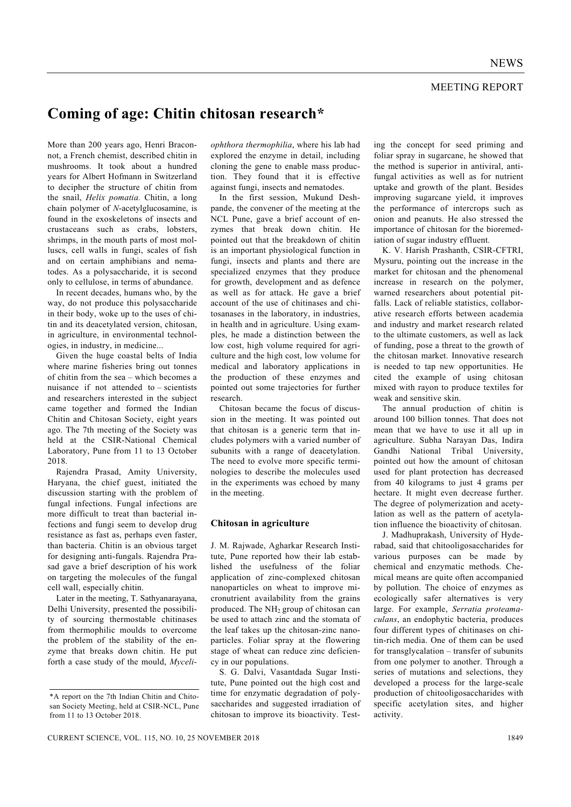# **Coming of age: Chitin chitosan research\***

More than 200 years ago, Henri Braconnot, a French chemist, described chitin in mushrooms. It took about a hundred years for Albert Hofmann in Switzerland to decipher the structure of chitin from the snail, *Helix pomatia.* Chitin, a long chain polymer of *N*-acetylglucosamine, is found in the exoskeletons of insects and crustaceans such as crabs, lobsters, shrimps, in the mouth parts of most molluscs, cell walls in fungi, scales of fish and on certain amphibians and nematodes. As a polysaccharide, it is second only to cellulose, in terms of abundance.

 In recent decades, humans who, by the way, do not produce this polysaccharide in their body, woke up to the uses of chitin and its deacetylated version, chitosan, in agriculture, in environmental technologies, in industry, in medicine...

 Given the huge coastal belts of India where marine fisheries bring out tonnes of chitin from the sea – which becomes a nuisance if not attended to – scientists and researchers interested in the subject came together and formed the Indian Chitin and Chitosan Society, eight years ago. The 7th meeting of the Society was held at the CSIR-National Chemical Laboratory, Pune from 11 to 13 October 2018.

 Rajendra Prasad, Amity University, Haryana, the chief guest, initiated the discussion starting with the problem of fungal infections. Fungal infections are more difficult to treat than bacterial infections and fungi seem to develop drug resistance as fast as, perhaps even faster, than bacteria. Chitin is an obvious target for designing anti-fungals. Rajendra Prasad gave a brief description of his work on targeting the molecules of the fungal cell wall, especially chitin.

 Later in the meeting, T. Sathyanarayana, Delhi University, presented the possibility of sourcing thermostable chitinases from thermophilic moulds to overcome the problem of the stability of the enzyme that breaks down chitin. He put forth a case study of the mould, *Myceli-*

*ophthora thermophilia*, where his lab had explored the enzyme in detail, including cloning the gene to enable mass production. They found that it is effective against fungi, insects and nematodes.

 In the first session, Mukund Deshpande, the convener of the meeting at the NCL Pune, gave a brief account of enzymes that break down chitin. He pointed out that the breakdown of chitin is an important physiological function in fungi, insects and plants and there are specialized enzymes that they produce for growth, development and as defence as well as for attack. He gave a brief account of the use of chitinases and chitosanases in the laboratory, in industries, in health and in agriculture. Using examples, he made a distinction between the low cost, high volume required for agriculture and the high cost, low volume for medical and laboratory applications in the production of these enzymes and pointed out some trajectories for further research.

 Chitosan became the focus of discussion in the meeting. It was pointed out that chitosan is a generic term that includes polymers with a varied number of subunits with a range of deacetylation. The need to evolve more specific terminologies to describe the molecules used in the experiments was echoed by many in the meeting.

### **Chitosan in agriculture**

J. M. Rajwade, Agharkar Research Institute, Pune reported how their lab established the usefulness of the foliar application of zinc-complexed chitosan nanoparticles on wheat to improve micronutrient availability from the grains produced. The NH<sub>2</sub> group of chitosan can be used to attach zinc and the stomata of the leaf takes up the chitosan-zinc nanoparticles. Foliar spray at the flowering stage of wheat can reduce zinc deficiency in our populations.

 S. G. Dalvi, Vasantdada Sugar Institute, Pune pointed out the high cost and time for enzymatic degradation of polysaccharides and suggested irradiation of chitosan to improve its bioactivity. Testing the concept for seed priming and foliar spray in sugarcane, he showed that the method is superior in antiviral, antifungal activities as well as for nutrient uptake and growth of the plant. Besides improving sugarcane yield, it improves the performance of intercrops such as onion and peanuts. He also stressed the importance of chitosan for the bioremediation of sugar industry effluent.

 K. V. Harish Prashanth, CSIR-CFTRI, Mysuru, pointing out the increase in the market for chitosan and the phenomenal increase in research on the polymer, warned researchers about potential pitfalls. Lack of reliable statistics, collaborative research efforts between academia and industry and market research related to the ultimate customers, as well as lack of funding, pose a threat to the growth of the chitosan market. Innovative research is needed to tap new opportunities. He cited the example of using chitosan mixed with rayon to produce textiles for weak and sensitive skin.

 The annual production of chitin is around 100 billion tonnes. That does not mean that we have to use it all up in agriculture. Subha Narayan Das, Indira Gandhi National Tribal University, pointed out how the amount of chitosan used for plant protection has decreased from 40 kilograms to just 4 grams per hectare. It might even decrease further. The degree of polymerization and acetylation as well as the pattern of acetylation influence the bioactivity of chitosan.

 J. Madhuprakash, University of Hyderabad, said that chitooligosaccharides for various purposes can be made by chemical and enzymatic methods. Chemical means are quite often accompanied by pollution. The choice of enzymes as ecologically safer alternatives is very large. For example, *Serratia proteamaculans*, an endophytic bacteria, produces four different types of chitinases on chitin-rich media. One of them can be used for transglycalation – transfer of subunits from one polymer to another. Through a series of mutations and selections, they developed a process for the large-scale production of chitooligosaccharides with specific acetylation sites, and higher activity.

<sup>\*</sup>A report on the 7th Indian Chitin and Chitosan Society Meeting, held at CSIR-NCL, Pune from 11 to 13 October 2018.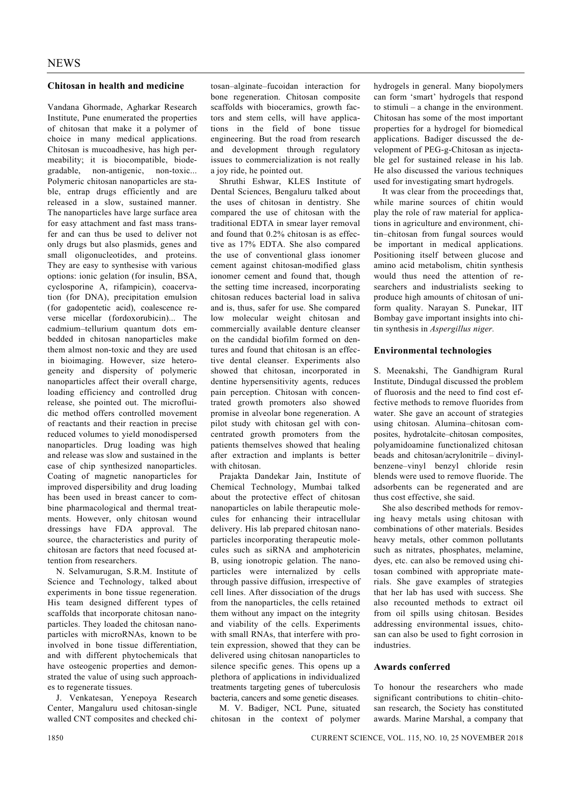## **Chitosan in health and medicine**

Vandana Ghormade, Agharkar Research Institute, Pune enumerated the properties of chitosan that make it a polymer of choice in many medical applications. Chitosan is mucoadhesive, has high permeability; it is biocompatible, biodegradable, non-antigenic, non-toxic... Polymeric chitosan nanoparticles are stable, entrap drugs efficiently and are released in a slow, sustained manner. The nanoparticles have large surface area for easy attachment and fast mass transfer and can thus be used to deliver not only drugs but also plasmids, genes and small oligonucleotides, and proteins. They are easy to synthesise with various options: ionic gelation (for insulin, BSA, cyclosporine A, rifampicin), coacervation (for DNA), precipitation emulsion (for gadopentetic acid), coalescence reverse micellar (fordoxorubicin)... The cadmium–tellurium quantum dots embedded in chitosan nanoparticles make them almost non-toxic and they are used in bioimaging. However, size heterogeneity and dispersity of polymeric nanoparticles affect their overall charge, loading efficiency and controlled drug release, she pointed out. The microfluidic method offers controlled movement of reactants and their reaction in precise reduced volumes to yield monodispersed nanoparticles. Drug loading was high and release was slow and sustained in the case of chip synthesized nanoparticles. Coating of magnetic nanoparticles for improved dispersibility and drug loading has been used in breast cancer to combine pharmacological and thermal treatments. However, only chitosan wound dressings have FDA approval. The source, the characteristics and purity of chitosan are factors that need focused attention from researchers.

 N. Selvamurugan, S.R.M. Institute of Science and Technology, talked about experiments in bone tissue regeneration. His team designed different types of scaffolds that incorporate chitosan nanoparticles. They loaded the chitosan nanoparticles with microRNAs, known to be involved in bone tissue differentiation, and with different phytochemicals that have osteogenic properties and demonstrated the value of using such approaches to regenerate tissues.

 J. Venkatesan, Yenepoya Research Center, Mangaluru used chitosan-single walled CNT composites and checked chi-

tosan–alginate–fucoidan interaction for bone regeneration. Chitosan composite scaffolds with bioceramics, growth factors and stem cells, will have applications in the field of bone tissue engineering. But the road from research and development through regulatory issues to commercialization is not really a joy ride, he pointed out.

 Shruthi Eshwar, KLES Institute of Dental Sciences, Bengaluru talked about the uses of chitosan in dentistry. She compared the use of chitosan with the traditional EDTA in smear layer removal and found that 0.2% chitosan is as effective as 17% EDTA. She also compared the use of conventional glass ionomer cement against chitosan-modified glass ionomer cement and found that, though the setting time increased, incorporating chitosan reduces bacterial load in saliva and is, thus, safer for use. She compared low molecular weight chitosan and commercially available denture cleanser on the candidal biofilm formed on dentures and found that chitosan is an effective dental cleanser. Experiments also showed that chitosan, incorporated in dentine hypersensitivity agents, reduces pain perception. Chitosan with concentrated growth promoters also showed promise in alveolar bone regeneration. A pilot study with chitosan gel with concentrated growth promoters from the patients themselves showed that healing after extraction and implants is better with chitosan.

 Prajakta Dandekar Jain, Institute of Chemical Technology, Mumbai talked about the protective effect of chitosan nanoparticles on labile therapeutic molecules for enhancing their intracellular delivery. His lab prepared chitosan nanoparticles incorporating therapeutic molecules such as siRNA and amphotericin B, using ionotropic gelation. The nanoparticles were internalized by cells through passive diffusion, irrespective of cell lines. After dissociation of the drugs from the nanoparticles, the cells retained them without any impact on the integrity and viability of the cells. Experiments with small RNAs, that interfere with protein expression, showed that they can be delivered using chitosan nanoparticles to silence specific genes. This opens up a plethora of applications in individualized treatments targeting genes of tuberculosis bacteria, cancers and some genetic diseases.

 M. V. Badiger, NCL Pune, situated chitosan in the context of polymer hydrogels in general. Many biopolymers can form 'smart' hydrogels that respond to stimuli – a change in the environment. Chitosan has some of the most important properties for a hydrogel for biomedical applications. Badiger discussed the development of PEG-g-Chitosan as injectable gel for sustained release in his lab. He also discussed the various techniques used for investigating smart hydrogels.

 It was clear from the proceedings that, while marine sources of chitin would play the role of raw material for applications in agriculture and environment, chitin–chitosan from fungal sources would be important in medical applications. Positioning itself between glucose and amino acid metabolism, chitin synthesis would thus need the attention of researchers and industrialists seeking to produce high amounts of chitosan of uniform quality. Narayan S. Punekar, IIT Bombay gave important insights into chitin synthesis in *Aspergillus niger.*

## **Environmental technologies**

S. Meenakshi, The Gandhigram Rural Institute, Dindugal discussed the problem of fluorosis and the need to find cost effective methods to remove fluorides from water. She gave an account of strategies using chitosan. Alumina–chitosan composites, hydrotalcite–chitosan composites, polyamidoamine functionalized chitosan beads and chitosan/acrylonitrile – divinylbenzene–vinyl benzyl chloride resin blends were used to remove fluoride. The adsorbents can be regenerated and are thus cost effective, she said.

 She also described methods for removing heavy metals using chitosan with combinations of other materials. Besides heavy metals, other common pollutants such as nitrates, phosphates, melamine, dyes, etc. can also be removed using chitosan combined with appropriate materials. She gave examples of strategies that her lab has used with success. She also recounted methods to extract oil from oil spills using chitosan. Besides addressing environmental issues, chitosan can also be used to fight corrosion in industries.

#### **Awards conferred**

To honour the researchers who made significant contributions to chitin–chitosan research, the Society has constituted awards. Marine Marshal, a company that